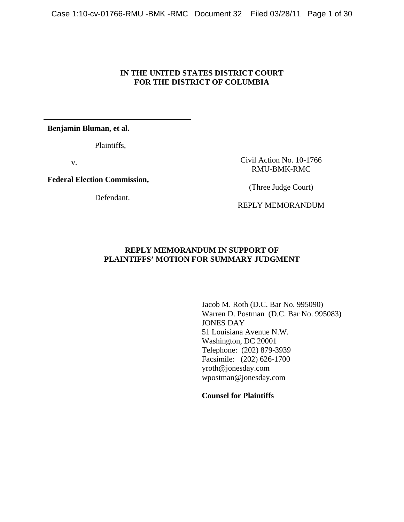## **IN THE UNITED STATES DISTRICT COURT FOR THE DISTRICT OF COLUMBIA**

**Benjamin Bluman, et al.**

Plaintiffs,

v.

**Federal Election Commission,** 

Defendant.

Civil Action No. 10-1766 RMU-BMK-RMC

(Three Judge Court)

REPLY MEMORANDUM

## **REPLY MEMORANDUM IN SUPPORT OF PLAINTIFFS' MOTION FOR SUMMARY JUDGMENT**

Jacob M. Roth (D.C. Bar No. 995090) Warren D. Postman (D.C. Bar No. 995083) JONES DAY 51 Louisiana Avenue N.W. Washington, DC 20001 Telephone: (202) 879-3939 Facsimile: (202) 626-1700 yroth@jonesday.com wpostman@jonesday.com

**Counsel for Plaintiffs**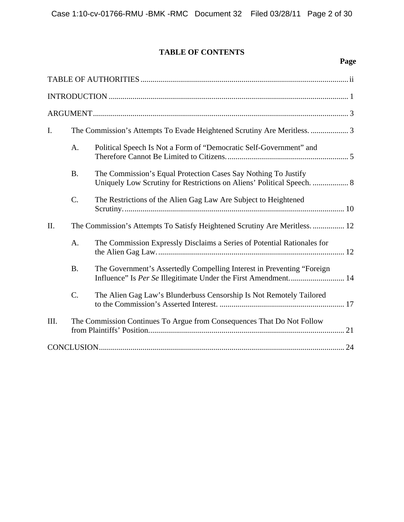# **TABLE OF CONTENTS**

| I.   |                                                                             |                                                                                                                                          |  |  |
|------|-----------------------------------------------------------------------------|------------------------------------------------------------------------------------------------------------------------------------------|--|--|
|      | A.                                                                          | Political Speech Is Not a Form of "Democratic Self-Government" and                                                                       |  |  |
|      | <b>B.</b>                                                                   | The Commission's Equal Protection Cases Say Nothing To Justify<br>Uniquely Low Scrutiny for Restrictions on Aliens' Political Speech.  8 |  |  |
|      | C.                                                                          | The Restrictions of the Alien Gag Law Are Subject to Heightened                                                                          |  |  |
| II.  | The Commission's Attempts To Satisfy Heightened Scrutiny Are Meritless.  12 |                                                                                                                                          |  |  |
|      | A.                                                                          | The Commission Expressly Disclaims a Series of Potential Rationales for                                                                  |  |  |
|      | <b>B.</b>                                                                   | The Government's Assertedly Compelling Interest in Preventing "Foreign                                                                   |  |  |
|      | $C$ .                                                                       | The Alien Gag Law's Blunderbuss Censorship Is Not Remotely Tailored                                                                      |  |  |
| III. |                                                                             | The Commission Continues To Argue from Consequences That Do Not Follow                                                                   |  |  |
|      |                                                                             |                                                                                                                                          |  |  |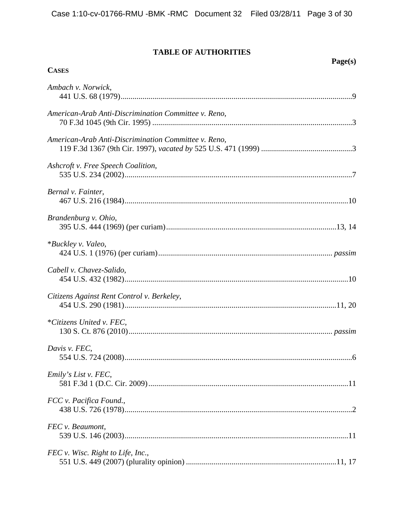# TABLE OF AUTHORITIES

| <b>CASES</b>                                         | Page(s) |
|------------------------------------------------------|---------|
|                                                      |         |
| Ambach v. Norwick,                                   |         |
| American-Arab Anti-Discrimination Committee v. Reno, |         |
| American-Arab Anti-Discrimination Committee v. Reno, |         |
| Ashcroft v. Free Speech Coalition,                   |         |
| Bernal v. Fainter,                                   |         |
| Brandenburg v. Ohio,                                 |         |
| *Buckley v. Valeo,                                   |         |
| Cabell v. Chavez-Salido,                             |         |
| Citizens Against Rent Control v. Berkeley,           |         |
| *Citizens United v. FEC,                             |         |
| Davis v. FEC,                                        |         |
| Emily's List v. FEC,                                 |         |
| FCC v. Pacifica Found.,                              |         |
| FEC v. Beaumont,                                     |         |
| FEC v. Wisc. Right to Life, Inc.,                    |         |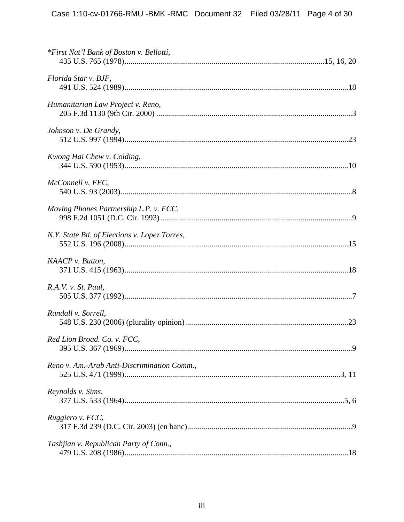| *First Nat'l Bank of Boston v. Bellotti,     |  |
|----------------------------------------------|--|
| Florida Star v. BJF,                         |  |
| Humanitarian Law Project v. Reno,            |  |
| Johnson v. De Grandy,                        |  |
| Kwong Hai Chew v. Colding,                   |  |
| McConnell v. FEC,                            |  |
| Moving Phones Partnership L.P. v. FCC,       |  |
| N.Y. State Bd. of Elections v. Lopez Torres, |  |
| NAACP v. Button,                             |  |
| R.A.V. v. St. Paul,                          |  |
| Randall v. Sorrell,                          |  |
| Red Lion Broad. Co. v. FCC,                  |  |
| Reno v. Am.-Arab Anti-Discrimination Comm.,  |  |
| Reynolds v. Sims,                            |  |
| Ruggiero v. FCC,                             |  |
| Tashjian v. Republican Party of Conn.,       |  |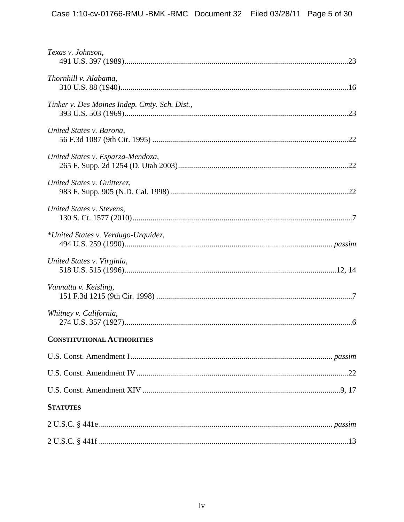| Texas v. Johnson,                             |  |
|-----------------------------------------------|--|
| Thornhill v. Alabama,                         |  |
| Tinker v. Des Moines Indep. Cmty. Sch. Dist., |  |
| United States v. Barona,                      |  |
| United States v. Esparza-Mendoza,             |  |
| United States v. Guitterez,                   |  |
| United States v. Stevens,                     |  |
| *United States v. Verdugo-Urquidez,           |  |
| United States v. Virginia,                    |  |
| Vannatta v. Keisling,                         |  |
| Whitney v. California,                        |  |
| <b>CONSTITUTIONAL AUTHORITIES</b>             |  |
|                                               |  |
|                                               |  |
|                                               |  |
| <b>STATUTES</b>                               |  |
|                                               |  |
|                                               |  |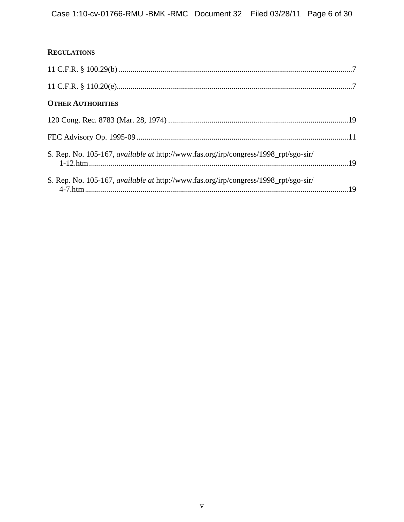## **REGULATIONS**

| <b>OTHER AUTHORITIES</b>                                                            |  |
|-------------------------------------------------------------------------------------|--|
|                                                                                     |  |
|                                                                                     |  |
| S. Rep. No. 105-167, available at http://www.fas.org/irp/congress/1998_rpt/sgo-sir/ |  |
| S. Rep. No. 105-167, available at http://www.fas.org/irp/congress/1998_rpt/sgo-sir/ |  |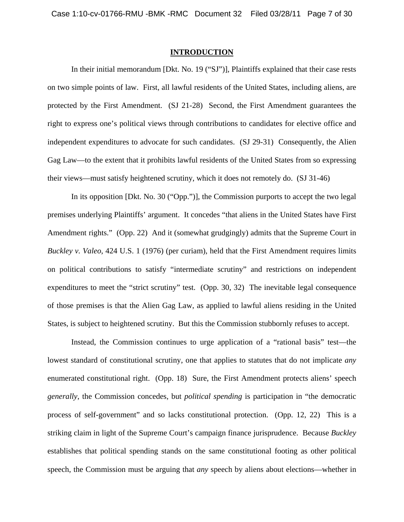#### **INTRODUCTION**

 In their initial memorandum [Dkt. No. 19 ("SJ")], Plaintiffs explained that their case rests on two simple points of law. First, all lawful residents of the United States, including aliens, are protected by the First Amendment. (SJ 21-28) Second, the First Amendment guarantees the right to express one's political views through contributions to candidates for elective office and independent expenditures to advocate for such candidates. (SJ 29-31) Consequently, the Alien Gag Law—to the extent that it prohibits lawful residents of the United States from so expressing their views—must satisfy heightened scrutiny, which it does not remotely do. (SJ 31-46)

 In its opposition [Dkt. No. 30 ("Opp.")], the Commission purports to accept the two legal premises underlying Plaintiffs' argument. It concedes "that aliens in the United States have First Amendment rights." (Opp. 22) And it (somewhat grudgingly) admits that the Supreme Court in *Buckley v. Valeo*, 424 U.S. 1 (1976) (per curiam), held that the First Amendment requires limits on political contributions to satisfy "intermediate scrutiny" and restrictions on independent expenditures to meet the "strict scrutiny" test. (Opp. 30, 32) The inevitable legal consequence of those premises is that the Alien Gag Law, as applied to lawful aliens residing in the United States, is subject to heightened scrutiny. But this the Commission stubbornly refuses to accept.

 Instead, the Commission continues to urge application of a "rational basis" test—the lowest standard of constitutional scrutiny, one that applies to statutes that do not implicate *any* enumerated constitutional right. (Opp. 18) Sure, the First Amendment protects aliens' speech *generally*, the Commission concedes, but *political spending* is participation in "the democratic process of self-government" and so lacks constitutional protection. (Opp. 12, 22) This is a striking claim in light of the Supreme Court's campaign finance jurisprudence. Because *Buckley*  establishes that political spending stands on the same constitutional footing as other political speech, the Commission must be arguing that *any* speech by aliens about elections—whether in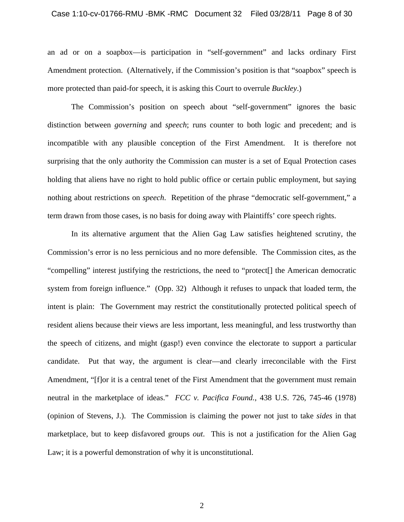#### Case 1:10-cv-01766-RMU -BMK -RMC Document 32 Filed 03/28/11 Page 8 of 30

an ad or on a soapbox—is participation in "self-government" and lacks ordinary First Amendment protection. (Alternatively, if the Commission's position is that "soapbox" speech is more protected than paid-for speech, it is asking this Court to overrule *Buckley*.)

 The Commission's position on speech about "self-government" ignores the basic distinction between *governing* and *speech*; runs counter to both logic and precedent; and is incompatible with any plausible conception of the First Amendment. It is therefore not surprising that the only authority the Commission can muster is a set of Equal Protection cases holding that aliens have no right to hold public office or certain public employment, but saying nothing about restrictions on *speech*. Repetition of the phrase "democratic self-government," a term drawn from those cases, is no basis for doing away with Plaintiffs' core speech rights.

 In its alternative argument that the Alien Gag Law satisfies heightened scrutiny, the Commission's error is no less pernicious and no more defensible. The Commission cites, as the "compelling" interest justifying the restrictions, the need to "protect[] the American democratic system from foreign influence." (Opp. 32) Although it refuses to unpack that loaded term, the intent is plain: The Government may restrict the constitutionally protected political speech of resident aliens because their views are less important, less meaningful, and less trustworthy than the speech of citizens, and might (gasp!) even convince the electorate to support a particular candidate. Put that way, the argument is clear—and clearly irreconcilable with the First Amendment, "[f]or it is a central tenet of the First Amendment that the government must remain neutral in the marketplace of ideas." *FCC v. Pacifica Found.*, 438 U.S. 726, 745-46 (1978) (opinion of Stevens, J.). The Commission is claiming the power not just to take *sides* in that marketplace, but to keep disfavored groups *out*. This is not a justification for the Alien Gag Law; it is a powerful demonstration of why it is unconstitutional.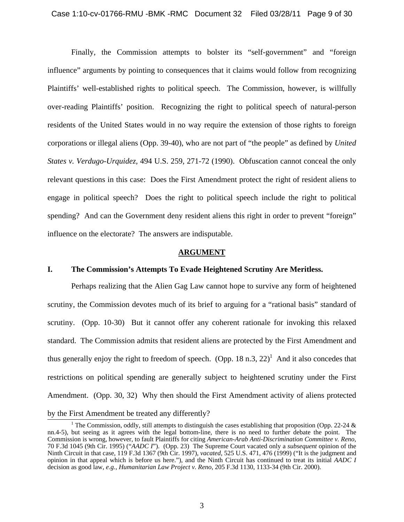Finally, the Commission attempts to bolster its "self-government" and "foreign influence" arguments by pointing to consequences that it claims would follow from recognizing Plaintiffs' well-established rights to political speech. The Commission, however, is willfully over-reading Plaintiffs' position. Recognizing the right to political speech of natural-person residents of the United States would in no way require the extension of those rights to foreign corporations or illegal aliens (Opp. 39-40), who are not part of "the people" as defined by *United States v. Verdugo-Urquidez,* 494 U.S. 259, 271-72 (1990). Obfuscation cannot conceal the only relevant questions in this case: Does the First Amendment protect the right of resident aliens to engage in political speech? Does the right to political speech include the right to political spending? And can the Government deny resident aliens this right in order to prevent "foreign" influence on the electorate? The answers are indisputable.

#### **ARGUMENT**

## **I. The Commission's Attempts To Evade Heightened Scrutiny Are Meritless.**

 Perhaps realizing that the Alien Gag Law cannot hope to survive any form of heightened scrutiny, the Commission devotes much of its brief to arguing for a "rational basis" standard of scrutiny. (Opp. 10-30) But it cannot offer any coherent rationale for invoking this relaxed standard. The Commission admits that resident aliens are protected by the First Amendment and thus generally enjoy the right to freedom of speech. (Opp. 18 n.3, 22)<sup>1</sup> And it also concedes that restrictions on political spending are generally subject to heightened scrutiny under the First Amendment. (Opp. 30, 32) Why then should the First Amendment activity of aliens protected by the First Amendment be treated any differently?

 $\frac{6y \text{ m}^2}{1}$ <sup>1</sup> The Commission, oddly, still attempts to distinguish the cases establishing that proposition (Opp. 22-24  $\&$ nn.4-5), but seeing as it agrees with the legal bottom-line, there is no need to further debate the point. The Commission is wrong, however, to fault Plaintiffs for citing *American-Arab Anti-Discrimination Committee v. Reno*, 70 F.3d 1045 (9th Cir. 1995) ("*AADC I*"). (Opp. 23) The Supreme Court vacated only a *subsequent* opinion of the Ninth Circuit in that case, 119 F.3d 1367 (9th Cir. 1997), *vacated*, 525 U.S. 471, 476 (1999) ("It is the judgment and opinion in that appeal which is before us here."), and the Ninth Circuit has continued to treat its initial *AADC I* decision as good law, *e.g.*, *Humanitarian Law Project v. Reno*, 205 F.3d 1130, 1133-34 (9th Cir. 2000).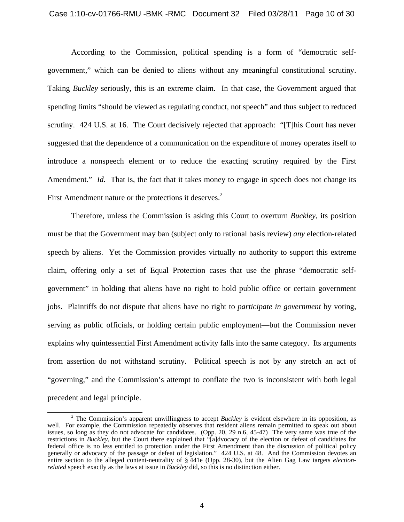According to the Commission, political spending is a form of "democratic selfgovernment," which can be denied to aliens without any meaningful constitutional scrutiny. Taking *Buckley* seriously, this is an extreme claim. In that case, the Government argued that spending limits "should be viewed as regulating conduct, not speech" and thus subject to reduced scrutiny. 424 U.S. at 16. The Court decisively rejected that approach: "[T]his Court has never suggested that the dependence of a communication on the expenditure of money operates itself to introduce a nonspeech element or to reduce the exacting scrutiny required by the First Amendment." *Id.* That is, the fact that it takes money to engage in speech does not change its First Amendment nature or the protections it deserves.<sup>2</sup>

 Therefore, unless the Commission is asking this Court to overturn *Buckley*, its position must be that the Government may ban (subject only to rational basis review) *any* election-related speech by aliens. Yet the Commission provides virtually no authority to support this extreme claim, offering only a set of Equal Protection cases that use the phrase "democratic selfgovernment" in holding that aliens have no right to hold public office or certain government jobs. Plaintiffs do not dispute that aliens have no right to *participate in government* by voting, serving as public officials, or holding certain public employment—but the Commission never explains why quintessential First Amendment activity falls into the same category. Its arguments from assertion do not withstand scrutiny. Political speech is not by any stretch an act of "governing," and the Commission's attempt to conflate the two is inconsistent with both legal precedent and legal principle.

 $\overline{\phantom{a}}$  The Commission's apparent unwillingness to accept *Buckley* is evident elsewhere in its opposition, as well. For example, the Commission repeatedly observes that resident aliens remain permitted to speak out about issues, so long as they do not advocate for candidates. (Opp. 20, 29 n.6, 45-47) The very same was true of the restrictions in *Buckley*, but the Court there explained that "[a]dvocacy of the election or defeat of candidates for federal office is no less entitled to protection under the First Amendment than the discussion of political policy generally or advocacy of the passage or defeat of legislation." 424 U.S. at 48. And the Commission devotes an entire section to the alleged content-neutrality of § 441e (Opp. 28-30), but the Alien Gag Law targets *electionrelated* speech exactly as the laws at issue in *Buckley* did, so this is no distinction either.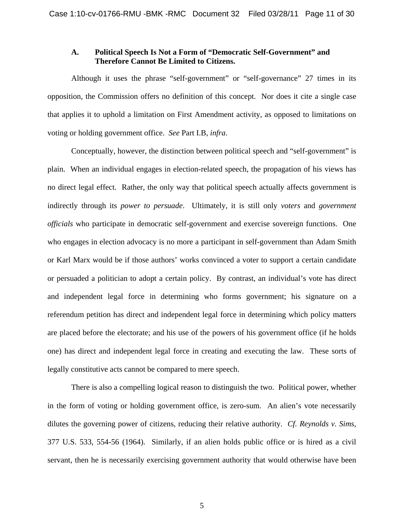## **A. Political Speech Is Not a Form of "Democratic Self-Government" and Therefore Cannot Be Limited to Citizens.**

 Although it uses the phrase "self-government" or "self-governance" 27 times in its opposition, the Commission offers no definition of this concept. Nor does it cite a single case that applies it to uphold a limitation on First Amendment activity, as opposed to limitations on voting or holding government office. *See* Part I.B, *infra*.

 Conceptually, however, the distinction between political speech and "self-government" is plain. When an individual engages in election-related speech, the propagation of his views has no direct legal effect. Rather, the only way that political speech actually affects government is indirectly through its *power to persuade*. Ultimately, it is still only *voters* and *government officials* who participate in democratic self-government and exercise sovereign functions. One who engages in election advocacy is no more a participant in self-government than Adam Smith or Karl Marx would be if those authors' works convinced a voter to support a certain candidate or persuaded a politician to adopt a certain policy. By contrast, an individual's vote has direct and independent legal force in determining who forms government; his signature on a referendum petition has direct and independent legal force in determining which policy matters are placed before the electorate; and his use of the powers of his government office (if he holds one) has direct and independent legal force in creating and executing the law. These sorts of legally constitutive acts cannot be compared to mere speech.

 There is also a compelling logical reason to distinguish the two. Political power, whether in the form of voting or holding government office, is zero-sum. An alien's vote necessarily dilutes the governing power of citizens, reducing their relative authority. *Cf. Reynolds v. Sims*, 377 U.S. 533, 554-56 (1964). Similarly, if an alien holds public office or is hired as a civil servant, then he is necessarily exercising government authority that would otherwise have been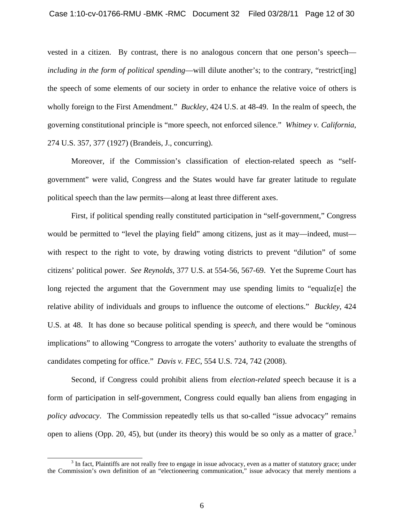vested in a citizen. By contrast, there is no analogous concern that one person's speech *including in the form of political spending*—will dilute another's; to the contrary, "restrict[ing] the speech of some elements of our society in order to enhance the relative voice of others is wholly foreign to the First Amendment." *Buckley*, 424 U.S. at 48-49. In the realm of speech, the governing constitutional principle is "more speech, not enforced silence." *Whitney v. California*, 274 U.S. 357, 377 (1927) (Brandeis, J., concurring).

 Moreover, if the Commission's classification of election-related speech as "selfgovernment" were valid, Congress and the States would have far greater latitude to regulate political speech than the law permits—along at least three different axes.

 First, if political spending really constituted participation in "self-government," Congress would be permitted to "level the playing field" among citizens, just as it may—indeed, must with respect to the right to vote, by drawing voting districts to prevent "dilution" of some citizens' political power. *See Reynolds*, 377 U.S. at 554-56, 567-69. Yet the Supreme Court has long rejected the argument that the Government may use spending limits to "equaliz[e] the relative ability of individuals and groups to influence the outcome of elections." *Buckley*, 424 U.S. at 48. It has done so because political spending is *speech*, and there would be "ominous implications" to allowing "Congress to arrogate the voters' authority to evaluate the strengths of candidates competing for office." *Davis v. FEC*, 554 U.S. 724, 742 (2008).

 Second, if Congress could prohibit aliens from *election-related* speech because it is a form of participation in self-government, Congress could equally ban aliens from engaging in *policy advocacy*. The Commission repeatedly tells us that so-called "issue advocacy" remains open to aliens (Opp. 20, 45), but (under its theory) this would be so only as a matter of grace.<sup>3</sup>

 $\frac{1}{3}$  $3$  In fact, Plaintiffs are not really free to engage in issue advocacy, even as a matter of statutory grace; under the Commission's own definition of an "electioneering communication," issue advocacy that merely mentions a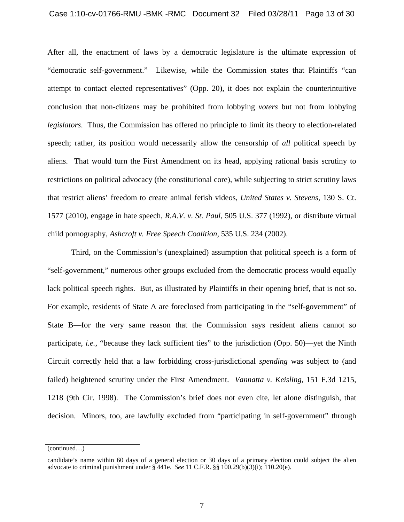After all, the enactment of laws by a democratic legislature is the ultimate expression of "democratic self-government." Likewise, while the Commission states that Plaintiffs "can attempt to contact elected representatives" (Opp. 20), it does not explain the counterintuitive conclusion that non-citizens may be prohibited from lobbying *voters* but not from lobbying *legislators*. Thus, the Commission has offered no principle to limit its theory to election-related speech; rather, its position would necessarily allow the censorship of *all* political speech by aliens. That would turn the First Amendment on its head, applying rational basis scrutiny to restrictions on political advocacy (the constitutional core), while subjecting to strict scrutiny laws that restrict aliens' freedom to create animal fetish videos, *United States v. Stevens*, 130 S. Ct. 1577 (2010), engage in hate speech, *R.A.V. v. St. Paul*, 505 U.S. 377 (1992), or distribute virtual child pornography, *Ashcroft v. Free Speech Coalition*, 535 U.S. 234 (2002).

 Third, on the Commission's (unexplained) assumption that political speech is a form of "self-government," numerous other groups excluded from the democratic process would equally lack political speech rights. But, as illustrated by Plaintiffs in their opening brief, that is not so. For example, residents of State A are foreclosed from participating in the "self-government" of State B—for the very same reason that the Commission says resident aliens cannot so participate, *i.e.*, "because they lack sufficient ties" to the jurisdiction (Opp. 50)—yet the Ninth Circuit correctly held that a law forbidding cross-jurisdictional *spending* was subject to (and failed) heightened scrutiny under the First Amendment. *Vannatta v. Keisling*, 151 F.3d 1215, 1218 (9th Cir. 1998). The Commission's brief does not even cite, let alone distinguish, that decision. Minors, too, are lawfully excluded from "participating in self-government" through

<sup>(</sup>continued…)

candidate's name within 60 days of a general election or 30 days of a primary election could subject the alien advocate to criminal punishment under § 441e. *See* 11 C.F.R. §§ 100.29(b)(3)(i); 110.20(e).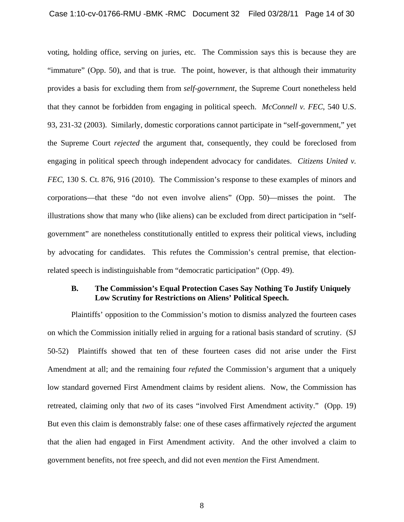#### Case 1:10-cv-01766-RMU -BMK -RMC Document 32 Filed 03/28/11 Page 14 of 30

voting, holding office, serving on juries, etc. The Commission says this is because they are "immature" (Opp. 50), and that is true. The point, however, is that although their immaturity provides a basis for excluding them from *self-government*, the Supreme Court nonetheless held that they cannot be forbidden from engaging in political speech. *McConnell v. FEC*, 540 U.S. 93, 231-32 (2003). Similarly, domestic corporations cannot participate in "self-government," yet the Supreme Court *rejected* the argument that, consequently, they could be foreclosed from engaging in political speech through independent advocacy for candidates. *Citizens United v. FEC*, 130 S. Ct. 876, 916 (2010). The Commission's response to these examples of minors and corporations—that these "do not even involve aliens" (Opp. 50)—misses the point. The illustrations show that many who (like aliens) can be excluded from direct participation in "selfgovernment" are nonetheless constitutionally entitled to express their political views, including by advocating for candidates. This refutes the Commission's central premise, that electionrelated speech is indistinguishable from "democratic participation" (Opp. 49).

## **B. The Commission's Equal Protection Cases Say Nothing To Justify Uniquely Low Scrutiny for Restrictions on Aliens' Political Speech.**

Plaintiffs' opposition to the Commission's motion to dismiss analyzed the fourteen cases on which the Commission initially relied in arguing for a rational basis standard of scrutiny. (SJ 50-52) Plaintiffs showed that ten of these fourteen cases did not arise under the First Amendment at all; and the remaining four *refuted* the Commission's argument that a uniquely low standard governed First Amendment claims by resident aliens. Now, the Commission has retreated, claiming only that *two* of its cases "involved First Amendment activity." (Opp. 19) But even this claim is demonstrably false: one of these cases affirmatively *rejected* the argument that the alien had engaged in First Amendment activity. And the other involved a claim to government benefits, not free speech, and did not even *mention* the First Amendment.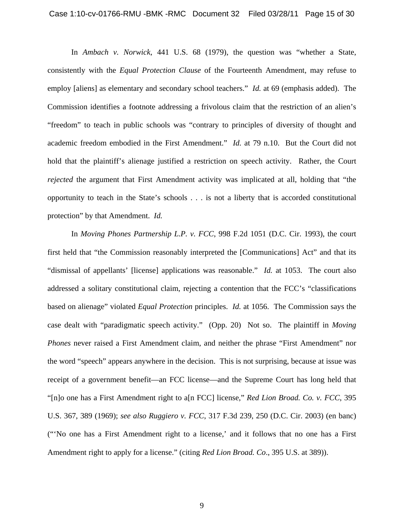In *Ambach v. Norwick*, 441 U.S. 68 (1979), the question was "whether a State, consistently with the *Equal Protection Clause* of the Fourteenth Amendment, may refuse to employ [aliens] as elementary and secondary school teachers." *Id.* at 69 (emphasis added). The Commission identifies a footnote addressing a frivolous claim that the restriction of an alien's "freedom" to teach in public schools was "contrary to principles of diversity of thought and academic freedom embodied in the First Amendment." *Id.* at 79 n.10. But the Court did not hold that the plaintiff's alienage justified a restriction on speech activity. Rather, the Court *rejected* the argument that First Amendment activity was implicated at all, holding that "the opportunity to teach in the State's schools . . . is not a liberty that is accorded constitutional protection" by that Amendment. *Id.*

In *Moving Phones Partnership L.P. v. FCC*, 998 F.2d 1051 (D.C. Cir. 1993), the court first held that "the Commission reasonably interpreted the [Communications] Act" and that its "dismissal of appellants' [license] applications was reasonable." *Id.* at 1053. The court also addressed a solitary constitutional claim, rejecting a contention that the FCC's "classifications based on alienage" violated *Equal Protection* principles. *Id.* at 1056. The Commission says the case dealt with "paradigmatic speech activity." (Opp. 20) Not so. The plaintiff in *Moving Phones* never raised a First Amendment claim, and neither the phrase "First Amendment" nor the word "speech" appears anywhere in the decision. This is not surprising, because at issue was receipt of a government benefit—an FCC license—and the Supreme Court has long held that "[n]o one has a First Amendment right to a[n FCC] license," *Red Lion Broad. Co. v. FCC*, 395 U.S. 367, 389 (1969); *see also Ruggiero v. FCC*, 317 F.3d 239, 250 (D.C. Cir. 2003) (en banc) ("'No one has a First Amendment right to a license,' and it follows that no one has a First Amendment right to apply for a license." (citing *Red Lion Broad. Co*., 395 U.S. at 389)).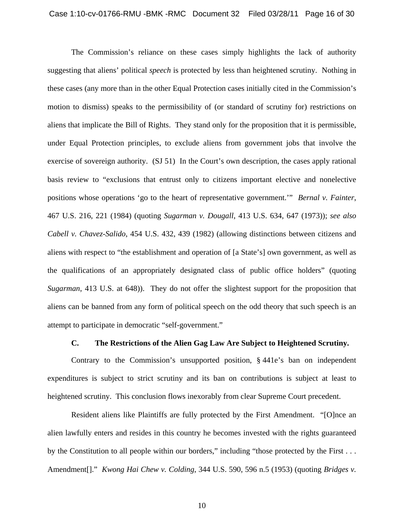The Commission's reliance on these cases simply highlights the lack of authority suggesting that aliens' political *speech* is protected by less than heightened scrutiny. Nothing in these cases (any more than in the other Equal Protection cases initially cited in the Commission's motion to dismiss) speaks to the permissibility of (or standard of scrutiny for) restrictions on aliens that implicate the Bill of Rights. They stand only for the proposition that it is permissible, under Equal Protection principles, to exclude aliens from government jobs that involve the exercise of sovereign authority. (SJ 51) In the Court's own description, the cases apply rational basis review to "exclusions that entrust only to citizens important elective and nonelective positions whose operations 'go to the heart of representative government.'" *Bernal v. Fainter*, 467 U.S. 216, 221 (1984) (quoting *Sugarman v. Dougall*, 413 U.S. 634, 647 (1973)); *see also Cabell v. Chavez-Salido*, 454 U.S. 432, 439 (1982) (allowing distinctions between citizens and aliens with respect to "the establishment and operation of [a State's] own government, as well as the qualifications of an appropriately designated class of public office holders" (quoting *Sugarman*, 413 U.S. at 648)). They do not offer the slightest support for the proposition that aliens can be banned from any form of political speech on the odd theory that such speech is an attempt to participate in democratic "self-government."

#### **C. The Restrictions of the Alien Gag Law Are Subject to Heightened Scrutiny.**

Contrary to the Commission's unsupported position, § 441e's ban on independent expenditures is subject to strict scrutiny and its ban on contributions is subject at least to heightened scrutiny. This conclusion flows inexorably from clear Supreme Court precedent.

Resident aliens like Plaintiffs are fully protected by the First Amendment. "[O]nce an alien lawfully enters and resides in this country he becomes invested with the rights guaranteed by the Constitution to all people within our borders," including "those protected by the First . . . Amendment[]." *Kwong Hai Chew v. Colding*, 344 U.S. 590, 596 n.5 (1953) (quoting *Bridges v.*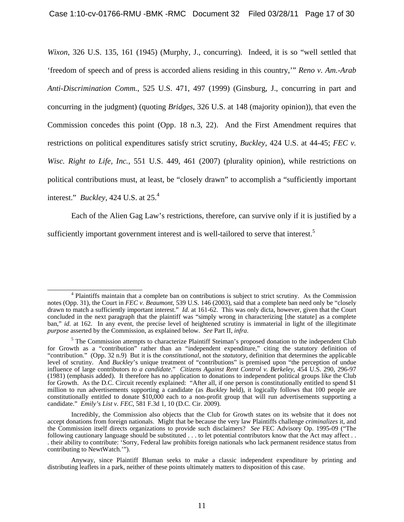*Wixon*, 326 U.S. 135, 161 (1945) (Murphy, J., concurring). Indeed, it is so "well settled that 'freedom of speech and of press is accorded aliens residing in this country,'" *Reno v. Am.-Arab Anti-Discrimination Comm.*, 525 U.S. 471, 497 (1999) (Ginsburg, J., concurring in part and concurring in the judgment) (quoting *Bridges*, 326 U.S. at 148 (majority opinion)), that even the Commission concedes this point (Opp. 18 n.3, 22). And the First Amendment requires that restrictions on political expenditures satisfy strict scrutiny, *Buckley*, 424 U.S. at 44-45; *FEC v. Wisc. Right to Life, Inc.*, 551 U.S. 449, 461 (2007) (plurality opinion), while restrictions on political contributions must, at least, be "closely drawn" to accomplish a "sufficiently important interest." *Buckley*, 424 U.S. at 25.4

Each of the Alien Gag Law's restrictions, therefore, can survive only if it is justified by a sufficiently important government interest and is well-tailored to serve that interest.<sup>5</sup>

 <sup>4</sup> Plaintiffs maintain that a complete ban on contributions is subject to strict scrutiny. As the Commission notes (Opp. 31), the Court in *FEC v. Beaumont*, 539 U.S. 146 (2003), said that a complete ban need only be "closely drawn to match a sufficiently important interest." *Id.* at 161-62. This was only dicta, however, given that the Court concluded in the next paragraph that the plaintiff was "simply wrong in characterizing [the statute] as a complete ban," *id.* at 162. In any event, the precise level of heightened scrutiny is immaterial in light of the illegitimate *purpose* asserted by the Commission, as explained below. *See* Part II, *infra*.

<sup>&</sup>lt;sup>5</sup> The Commission attempts to characterize Plaintiff Steiman's proposed donation to the independent Club for Growth as a "contribution" rather than an "independent expenditure," citing the statutory definition of "contribution." (Opp. 32 n.9) But it is the *constitutional*, not the *statutory*, definition that determines the applicable level of scrutiny. And *Buckley*'s unique treatment of "contributions" is premised upon "the perception of undue influence of large contributors *to a candidate*." *Citizens Against Rent Control v. Berkeley*, 454 U.S. 290, 296-97 (1981) (emphasis added). It therefore has no application to donations to independent political groups like the Club for Growth. As the D.C. Circuit recently explained: "After all, if one person is constitutionally entitled to spend \$1 million to run advertisements supporting a candidate (as *Buckley* held), it logically follows that 100 people are constitutionally entitled to donate \$10,000 each to a non-profit group that will run advertisements supporting a candidate." *Emily's List v. FEC*, 581 F.3d 1, 10 (D.C. Cir. 2009).

Incredibly, the Commission also objects that the Club for Growth states on its website that it does not accept donations from foreign nationals. Might that be because the very law Plaintiffs challenge *criminalizes* it, and the Commission itself directs organizations to provide such disclaimers? *See* FEC Advisory Op. 1995-09 ("The following cautionary language should be substituted . . . to let potential contributors know that the Act may affect . . . their ability to contribute: 'Sorry, Federal law prohibits foreign nationals who lack permanent residence status from contributing to NewtWatch.'").

Anyway, since Plaintiff Bluman seeks to make a classic independent expenditure by printing and distributing leaflets in a park, neither of these points ultimately matters to disposition of this case.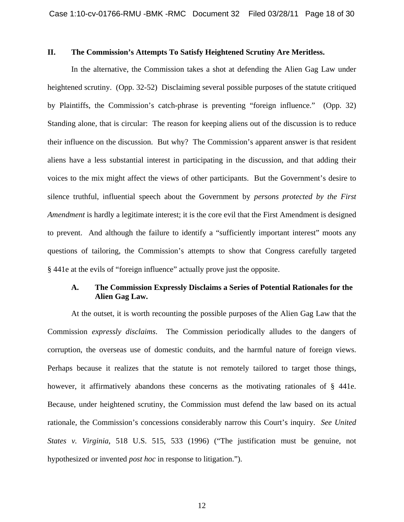## **II. The Commission's Attempts To Satisfy Heightened Scrutiny Are Meritless.**

In the alternative, the Commission takes a shot at defending the Alien Gag Law under heightened scrutiny. (Opp. 32-52) Disclaiming several possible purposes of the statute critiqued by Plaintiffs, the Commission's catch-phrase is preventing "foreign influence." (Opp. 32) Standing alone, that is circular: The reason for keeping aliens out of the discussion is to reduce their influence on the discussion. But why? The Commission's apparent answer is that resident aliens have a less substantial interest in participating in the discussion, and that adding their voices to the mix might affect the views of other participants. But the Government's desire to silence truthful, influential speech about the Government by *persons protected by the First Amendment* is hardly a legitimate interest; it is the core evil that the First Amendment is designed to prevent. And although the failure to identify a "sufficiently important interest" moots any questions of tailoring, the Commission's attempts to show that Congress carefully targeted § 441e at the evils of "foreign influence" actually prove just the opposite.

## **A. The Commission Expressly Disclaims a Series of Potential Rationales for the Alien Gag Law.**

At the outset, it is worth recounting the possible purposes of the Alien Gag Law that the Commission *expressly disclaims*. The Commission periodically alludes to the dangers of corruption, the overseas use of domestic conduits, and the harmful nature of foreign views. Perhaps because it realizes that the statute is not remotely tailored to target those things, however, it affirmatively abandons these concerns as the motivating rationales of § 441e. Because, under heightened scrutiny, the Commission must defend the law based on its actual rationale, the Commission's concessions considerably narrow this Court's inquiry. *See United States v. Virginia*, 518 U.S. 515, 533 (1996) ("The justification must be genuine, not hypothesized or invented *post hoc* in response to litigation.").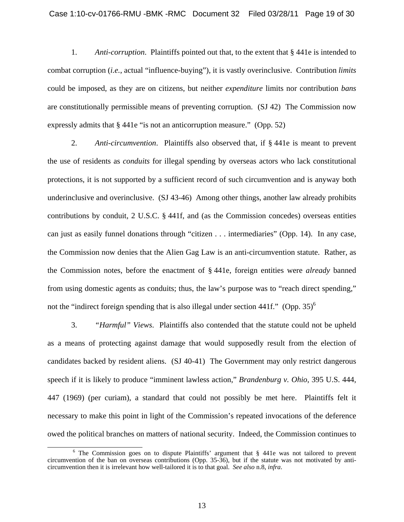1. *Anti-corruption*. Plaintiffs pointed out that, to the extent that § 441e is intended to combat corruption (*i.e.*, actual "influence-buying"), it is vastly overinclusive. Contribution *limits* could be imposed, as they are on citizens, but neither *expenditure* limits nor contribution *bans* are constitutionally permissible means of preventing corruption. (SJ 42) The Commission now expressly admits that § 441e "is not an anticorruption measure." (Opp. 52)

2. *Anti-circumvention*. Plaintiffs also observed that, if § 441e is meant to prevent the use of residents as *conduits* for illegal spending by overseas actors who lack constitutional protections, it is not supported by a sufficient record of such circumvention and is anyway both underinclusive and overinclusive. (SJ 43-46) Among other things, another law already prohibits contributions by conduit, 2 U.S.C. § 441f, and (as the Commission concedes) overseas entities can just as easily funnel donations through "citizen . . . intermediaries" (Opp. 14). In any case, the Commission now denies that the Alien Gag Law is an anti-circumvention statute. Rather, as the Commission notes, before the enactment of § 441e, foreign entities were *already* banned from using domestic agents as conduits; thus, the law's purpose was to "reach direct spending," not the "indirect foreign spending that is also illegal under section 441f." (Opp.  $35$ )<sup>6</sup>

3. *"Harmful" Views*. Plaintiffs also contended that the statute could not be upheld as a means of protecting against damage that would supposedly result from the election of candidates backed by resident aliens. (SJ 40-41) The Government may only restrict dangerous speech if it is likely to produce "imminent lawless action," *Brandenburg v. Ohio*, 395 U.S. 444, 447 (1969) (per curiam), a standard that could not possibly be met here. Plaintiffs felt it necessary to make this point in light of the Commission's repeated invocations of the deference owed the political branches on matters of national security. Indeed, the Commission continues to

 $\overline{6}$ <sup>6</sup> The Commission goes on to dispute Plaintiffs' argument that § 441e was not tailored to prevent circumvention of the ban on overseas contributions (Opp. 35-36), but if the statute was not motivated by anticircumvention then it is irrelevant how well-tailored it is to that goal. *See also* n.8, *infra*.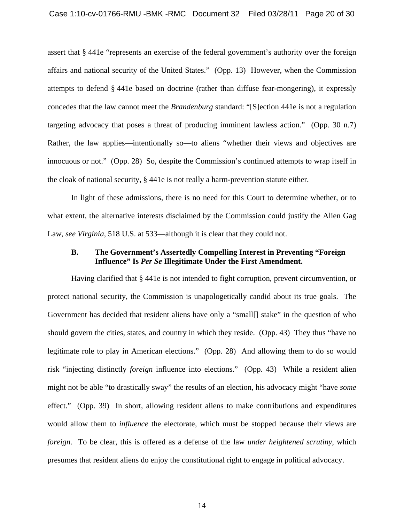assert that § 441e "represents an exercise of the federal government's authority over the foreign affairs and national security of the United States." (Opp. 13) However, when the Commission attempts to defend § 441e based on doctrine (rather than diffuse fear-mongering), it expressly concedes that the law cannot meet the *Brandenburg* standard: "[S]ection 441e is not a regulation targeting advocacy that poses a threat of producing imminent lawless action." (Opp. 30 n.7) Rather, the law applies—intentionally so—to aliens "whether their views and objectives are innocuous or not." (Opp. 28) So, despite the Commission's continued attempts to wrap itself in the cloak of national security, § 441e is not really a harm-prevention statute either.

In light of these admissions, there is no need for this Court to determine whether, or to what extent, the alternative interests disclaimed by the Commission could justify the Alien Gag Law, *see Virginia*, 518 U.S. at 533—although it is clear that they could not.

### **B. The Government's Assertedly Compelling Interest in Preventing "Foreign Influence" Is** *Per Se* **Illegitimate Under the First Amendment.**

Having clarified that § 441e is not intended to fight corruption, prevent circumvention, or protect national security, the Commission is unapologetically candid about its true goals. The Government has decided that resident aliens have only a "small[] stake" in the question of who should govern the cities, states, and country in which they reside. (Opp. 43) They thus "have no legitimate role to play in American elections." (Opp. 28) And allowing them to do so would risk "injecting distinctly *foreign* influence into elections." (Opp. 43) While a resident alien might not be able "to drastically sway" the results of an election, his advocacy might "have *some* effect." (Opp. 39) In short, allowing resident aliens to make contributions and expenditures would allow them to *influence* the electorate, which must be stopped because their views are *foreign*. To be clear, this is offered as a defense of the law *under heightened scrutiny*, which presumes that resident aliens do enjoy the constitutional right to engage in political advocacy.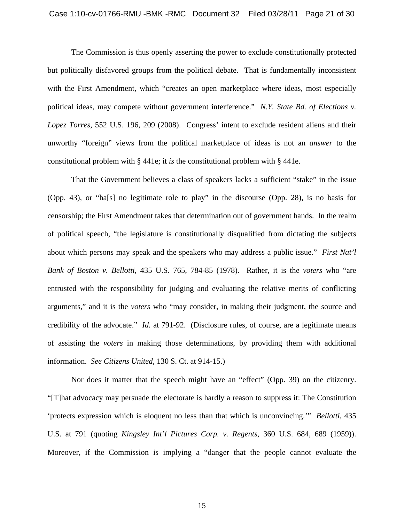#### Case 1:10-cv-01766-RMU -BMK -RMC Document 32 Filed 03/28/11 Page 21 of 30

The Commission is thus openly asserting the power to exclude constitutionally protected but politically disfavored groups from the political debate. That is fundamentally inconsistent with the First Amendment, which "creates an open marketplace where ideas, most especially political ideas, may compete without government interference." *N.Y. State Bd. of Elections v. Lopez Torres*, 552 U.S. 196, 209 (2008). Congress' intent to exclude resident aliens and their unworthy "foreign" views from the political marketplace of ideas is not an *answer* to the constitutional problem with § 441e; it *is* the constitutional problem with § 441e.

That the Government believes a class of speakers lacks a sufficient "stake" in the issue (Opp. 43), or "ha[s] no legitimate role to play" in the discourse (Opp. 28), is no basis for censorship; the First Amendment takes that determination out of government hands. In the realm of political speech, "the legislature is constitutionally disqualified from dictating the subjects about which persons may speak and the speakers who may address a public issue." *First Nat'l Bank of Boston v. Bellotti*, 435 U.S. 765, 784-85 (1978). Rather, it is the *voters* who "are entrusted with the responsibility for judging and evaluating the relative merits of conflicting arguments," and it is the *voters* who "may consider, in making their judgment, the source and credibility of the advocate." *Id.* at 791-92. (Disclosure rules, of course, are a legitimate means of assisting the *voters* in making those determinations, by providing them with additional information. *See Citizens United*, 130 S. Ct. at 914-15.)

Nor does it matter that the speech might have an "effect" (Opp. 39) on the citizenry. "[T]hat advocacy may persuade the electorate is hardly a reason to suppress it: The Constitution 'protects expression which is eloquent no less than that which is unconvincing.'" *Bellotti*, 435 U.S. at 791 (quoting *Kingsley Int'l Pictures Corp. v. Regents*, 360 U.S. 684, 689 (1959)). Moreover, if the Commission is implying a "danger that the people cannot evaluate the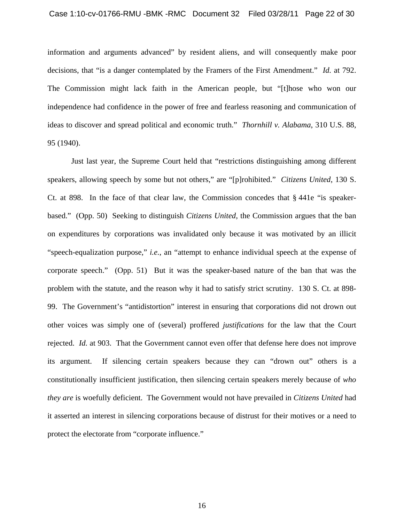information and arguments advanced" by resident aliens, and will consequently make poor decisions, that "is a danger contemplated by the Framers of the First Amendment." *Id.* at 792. The Commission might lack faith in the American people, but "[t]hose who won our independence had confidence in the power of free and fearless reasoning and communication of ideas to discover and spread political and economic truth." *Thornhill v. Alabama*, 310 U.S. 88, 95 (1940).

Just last year, the Supreme Court held that "restrictions distinguishing among different speakers, allowing speech by some but not others," are "[p]rohibited." *Citizens United*, 130 S. Ct. at 898. In the face of that clear law, the Commission concedes that § 441e "is speakerbased." (Opp. 50) Seeking to distinguish *Citizens United*, the Commission argues that the ban on expenditures by corporations was invalidated only because it was motivated by an illicit "speech-equalization purpose," *i.e.*, an "attempt to enhance individual speech at the expense of corporate speech." (Opp. 51) But it was the speaker-based nature of the ban that was the problem with the statute, and the reason why it had to satisfy strict scrutiny. 130 S. Ct. at 898- 99. The Government's "antidistortion" interest in ensuring that corporations did not drown out other voices was simply one of (several) proffered *justifications* for the law that the Court rejected. *Id.* at 903. That the Government cannot even offer that defense here does not improve its argument. If silencing certain speakers because they can "drown out" others is a constitutionally insufficient justification, then silencing certain speakers merely because of *who they are* is woefully deficient. The Government would not have prevailed in *Citizens United* had it asserted an interest in silencing corporations because of distrust for their motives or a need to protect the electorate from "corporate influence."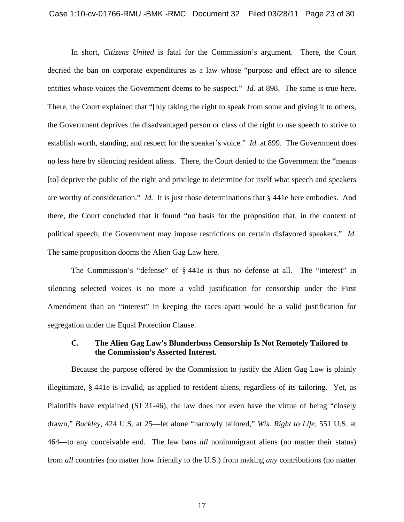In short, *Citizens United* is fatal for the Commission's argument. There, the Court decried the ban on corporate expenditures as a law whose "purpose and effect are to silence entities whose voices the Government deems to be suspect." *Id.* at 898. The same is true here. There, the Court explained that "[b]y taking the right to speak from some and giving it to others, the Government deprives the disadvantaged person or class of the right to use speech to strive to establish worth, standing, and respect for the speaker's voice." *Id.* at 899. The Government does no less here by silencing resident aliens. There, the Court denied to the Government the "means [to] deprive the public of the right and privilege to determine for itself what speech and speakers are worthy of consideration." *Id.* It is just those determinations that § 441e here embodies. And there, the Court concluded that it found "no basis for the proposition that, in the context of political speech, the Government may impose restrictions on certain disfavored speakers." *Id.* The same proposition dooms the Alien Gag Law here.

The Commission's "defense" of § 441e is thus no defense at all. The "interest" in silencing selected voices is no more a valid justification for censorship under the First Amendment than an "interest" in keeping the races apart would be a valid justification for segregation under the Equal Protection Clause.

## **C. The Alien Gag Law's Blunderbuss Censorship Is Not Remotely Tailored to the Commission's Asserted Interest.**

Because the purpose offered by the Commission to justify the Alien Gag Law is plainly illegitimate, § 441e is invalid, as applied to resident aliens, regardless of its tailoring. Yet, as Plaintiffs have explained (SJ 31-46), the law does not even have the virtue of being "closely drawn," *Buckley*, 424 U.S. at 25—let alone "narrowly tailored," *Wis. Right to Life*, 551 U.S. at 464—to any conceivable end. The law bans *all* nonimmigrant aliens (no matter their status) from *all* countries (no matter how friendly to the U.S.) from making *any* contributions (no matter

17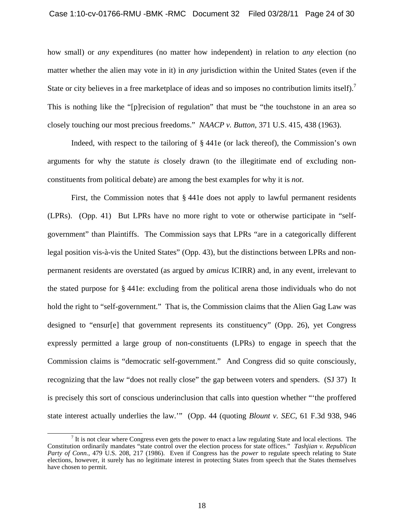how small) or *any* expenditures (no matter how independent) in relation to *any* election (no matter whether the alien may vote in it) in *any* jurisdiction within the United States (even if the State or city believes in a free marketplace of ideas and so imposes no contribution limits itself).<sup>7</sup> This is nothing like the "[p]recision of regulation" that must be "the touchstone in an area so closely touching our most precious freedoms." *NAACP v. Button*, 371 U.S. 415, 438 (1963).

Indeed, with respect to the tailoring of § 441e (or lack thereof), the Commission's own arguments for why the statute *is* closely drawn (to the illegitimate end of excluding nonconstituents from political debate) are among the best examples for why it is *not*.

First, the Commission notes that § 441e does not apply to lawful permanent residents (LPRs). (Opp. 41) But LPRs have no more right to vote or otherwise participate in "selfgovernment" than Plaintiffs. The Commission says that LPRs "are in a categorically different legal position vis-à-vis the United States" (Opp. 43), but the distinctions between LPRs and nonpermanent residents are overstated (as argued by *amicus* ICIRR) and, in any event, irrelevant to the stated purpose for § 441e: excluding from the political arena those individuals who do not hold the right to "self-government." That is, the Commission claims that the Alien Gag Law was designed to "ensur[e] that government represents its constituency" (Opp. 26), yet Congress expressly permitted a large group of non-constituents (LPRs) to engage in speech that the Commission claims is "democratic self-government." And Congress did so quite consciously, recognizing that the law "does not really close" the gap between voters and spenders. (SJ 37) It is precisely this sort of conscious underinclusion that calls into question whether "'the proffered state interest actually underlies the law.'" (Opp. 44 (quoting *Blount v. SEC*, 61 F.3d 938, 946

 $\overline{7}$  $<sup>7</sup>$  It is not clear where Congress even gets the power to enact a law regulating State and local elections. The</sup> Constitution ordinarily mandates "state control over the election process for state offices." *Tashjian v. Republican Party of Conn.*, 479 U.S. 208, 217 (1986). Even if Congress has the *power* to regulate speech relating to State elections, however, it surely has no legitimate interest in protecting States from speech that the States themselves have chosen to permit.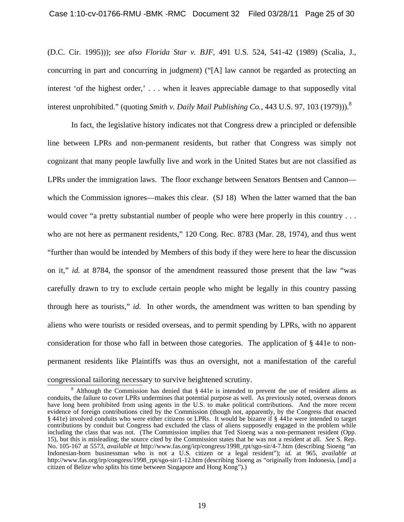(D.C. Cir. 1995))); *see also Florida Star v. BJF*, 491 U.S. 524, 541-42 (1989) (Scalia, J., concurring in part and concurring in judgment) ("[A] law cannot be regarded as protecting an interest 'of the highest order,' . . . when it leaves appreciable damage to that supposedly vital interest unprohibited." (quoting *Smith v. Daily Mail Publishing Co.*, 443 U.S. 97, 103 (1979)).<sup>8</sup>

In fact, the legislative history indicates not that Congress drew a principled or defensible line between LPRs and non-permanent residents, but rather that Congress was simply not cognizant that many people lawfully live and work in the United States but are not classified as LPRs under the immigration laws. The floor exchange between Senators Bentsen and Cannon which the Commission ignores—makes this clear. (SJ 18) When the latter warned that the ban would cover "a pretty substantial number of people who were here properly in this country . . . who are not here as permanent residents," 120 Cong. Rec. 8783 (Mar. 28, 1974), and thus went "further than would be intended by Members of this body if they were here to hear the discussion on it," *id.* at 8784, the sponsor of the amendment reassured those present that the law "was carefully drawn to try to exclude certain people who might be legally in this country passing through here as tourists," *id.* In other words, the amendment was written to ban spending by aliens who were tourists or resided overseas, and to permit spending by LPRs, with no apparent consideration for those who fall in between those categories. The application of § 441e to nonpermanent residents like Plaintiffs was thus an oversight, not a manifestation of the careful congressional tailoring necessary to survive heightened scrutiny.

 $\delta$  Although the Commission has denied that § 441e is intended to prevent the use of resident aliens as conduits, the failure to cover LPRs undermines that potential purpose as well. As previously noted, overseas donors have long been prohibited from using agents in the U.S. to make political contributions. And the more recent evidence of foreign contributions cited by the Commission (though not, apparently, by the Congress that enacted § 441e) involved conduits who were either citizens or LPRs. It would be bizarre if § 441e were intended to target contributions by conduit but Congress had excluded the class of aliens supposedly engaged in the problem while including the class that was not. (The Commission implies that Ted Sioeng was a non-permanent resident (Opp. 15), but this is misleading; the source cited by the Commission states that he was not a resident at all. *See* S. Rep. No. 105-167 at 5573, *available at* http://www.fas.org/irp/congress/1998\_rpt/sgo-sir/4-7.htm (describing Sioeng "an Indonesian-born businessman who is not a U.S. citizen or a legal resident"); *id.* at 965, *available at*  http://www.fas.org/irp/congress/1998\_rpt/sgo-sir/1-12.htm (describing Sioeng as "originally from Indonesia, [and] a citizen of Belize who splits his time between Singapore and Hong Kong").)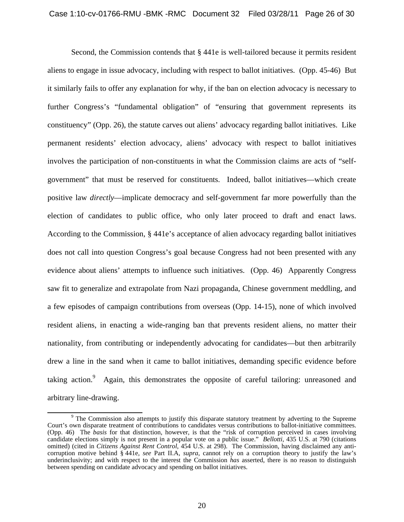Second, the Commission contends that  $\S 441e$  is well-tailored because it permits resident aliens to engage in issue advocacy, including with respect to ballot initiatives. (Opp. 45-46) But it similarly fails to offer any explanation for why, if the ban on election advocacy is necessary to further Congress's "fundamental obligation" of "ensuring that government represents its constituency" (Opp. 26), the statute carves out aliens' advocacy regarding ballot initiatives. Like permanent residents' election advocacy, aliens' advocacy with respect to ballot initiatives involves the participation of non-constituents in what the Commission claims are acts of "selfgovernment" that must be reserved for constituents. Indeed, ballot initiatives—which create positive law *directly*—implicate democracy and self-government far more powerfully than the election of candidates to public office, who only later proceed to draft and enact laws. According to the Commission, § 441e's acceptance of alien advocacy regarding ballot initiatives does not call into question Congress's goal because Congress had not been presented with any evidence about aliens' attempts to influence such initiatives. (Opp. 46) Apparently Congress saw fit to generalize and extrapolate from Nazi propaganda, Chinese government meddling, and a few episodes of campaign contributions from overseas (Opp. 14-15), none of which involved resident aliens, in enacting a wide-ranging ban that prevents resident aliens, no matter their nationality, from contributing or independently advocating for candidates—but then arbitrarily drew a line in the sand when it came to ballot initiatives, demanding specific evidence before taking action.<sup>9</sup> Again, this demonstrates the opposite of careful tailoring: unreasoned and arbitrary line-drawing.

 $\frac{1}{9}$ <sup>9</sup> The Commission also attempts to justify this disparate statutory treatment by adverting to the Supreme Court's own disparate treatment of contributions to candidates versus contributions to ballot-initiative committees. (Opp. 46) The *basis* for that distinction, however, is that the "risk of corruption perceived in cases involving candidate elections simply is not present in a popular vote on a public issue." *Bellotti*, 435 U.S. at 790 (citations omitted) (cited in *Citizens Against Rent Control*, 454 U.S. at 298). The Commission, having disclaimed any anticorruption motive behind § 441e, *see* Part II.A, *supra*, cannot rely on a corruption theory to justify the law's underinclusivity; and with respect to the interest the Commission *has* asserted, there is no reason to distinguish between spending on candidate advocacy and spending on ballot initiatives.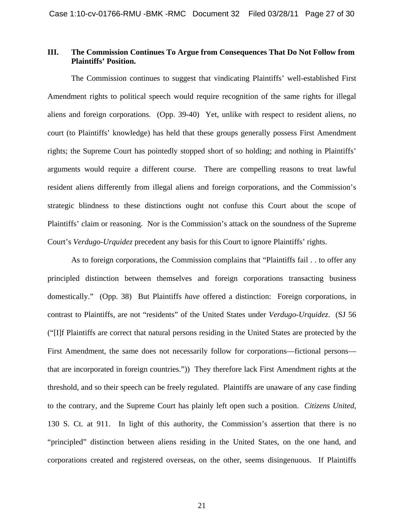## **III. The Commission Continues To Argue from Consequences That Do Not Follow from Plaintiffs' Position.**

 The Commission continues to suggest that vindicating Plaintiffs' well-established First Amendment rights to political speech would require recognition of the same rights for illegal aliens and foreign corporations. (Opp. 39-40) Yet, unlike with respect to resident aliens, no court (to Plaintiffs' knowledge) has held that these groups generally possess First Amendment rights; the Supreme Court has pointedly stopped short of so holding; and nothing in Plaintiffs' arguments would require a different course. There are compelling reasons to treat lawful resident aliens differently from illegal aliens and foreign corporations, and the Commission's strategic blindness to these distinctions ought not confuse this Court about the scope of Plaintiffs' claim or reasoning. Nor is the Commission's attack on the soundness of the Supreme Court's *Verdugo-Urquidez* precedent any basis for this Court to ignore Plaintiffs' rights.

 As to foreign corporations, the Commission complains that "Plaintiffs fail . . to offer any principled distinction between themselves and foreign corporations transacting business domestically." (Opp. 38) But Plaintiffs *have* offered a distinction: Foreign corporations, in contrast to Plaintiffs, are not "residents" of the United States under *Verdugo-Urquidez*. (SJ 56 ("[I]f Plaintiffs are correct that natural persons residing in the United States are protected by the First Amendment, the same does not necessarily follow for corporations—fictional persons that are incorporated in foreign countries.")) They therefore lack First Amendment rights at the threshold, and so their speech can be freely regulated. Plaintiffs are unaware of any case finding to the contrary, and the Supreme Court has plainly left open such a position. *Citizens United*, 130 S. Ct. at 911. In light of this authority, the Commission's assertion that there is no "principled" distinction between aliens residing in the United States, on the one hand, and corporations created and registered overseas, on the other, seems disingenuous. If Plaintiffs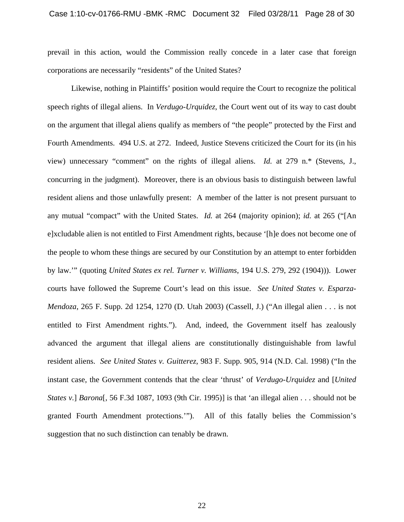prevail in this action, would the Commission really concede in a later case that foreign corporations are necessarily "residents" of the United States?

 Likewise, nothing in Plaintiffs' position would require the Court to recognize the political speech rights of illegal aliens. In *Verdugo-Urquidez*, the Court went out of its way to cast doubt on the argument that illegal aliens qualify as members of "the people" protected by the First and Fourth Amendments. 494 U.S. at 272. Indeed, Justice Stevens criticized the Court for its (in his view) unnecessary "comment" on the rights of illegal aliens. *Id.* at 279 n.\* (Stevens, J., concurring in the judgment). Moreover, there is an obvious basis to distinguish between lawful resident aliens and those unlawfully present: A member of the latter is not present pursuant to any mutual "compact" with the United States. *Id.* at 264 (majority opinion); *id.* at 265 ("[An e]xcludable alien is not entitled to First Amendment rights, because '[h]e does not become one of the people to whom these things are secured by our Constitution by an attempt to enter forbidden by law.'" (quoting *United States ex rel. Turner v. Williams*, 194 U.S. 279, 292 (1904))). Lower courts have followed the Supreme Court's lead on this issue. *See United States v. Esparza-Mendoza*, 265 F. Supp. 2d 1254, 1270 (D. Utah 2003) (Cassell, J.) ("An illegal alien . . . is not entitled to First Amendment rights."). And, indeed, the Government itself has zealously advanced the argument that illegal aliens are constitutionally distinguishable from lawful resident aliens. *See United States v. Guitterez*, 983 F. Supp. 905, 914 (N.D. Cal. 1998) ("In the instant case, the Government contends that the clear 'thrust' of *Verdugo-Urquidez* and [*United States v.*] *Barona*[, 56 F.3d 1087, 1093 (9th Cir. 1995)] is that 'an illegal alien . . . should not be granted Fourth Amendment protections.'"). All of this fatally belies the Commission's suggestion that no such distinction can tenably be drawn.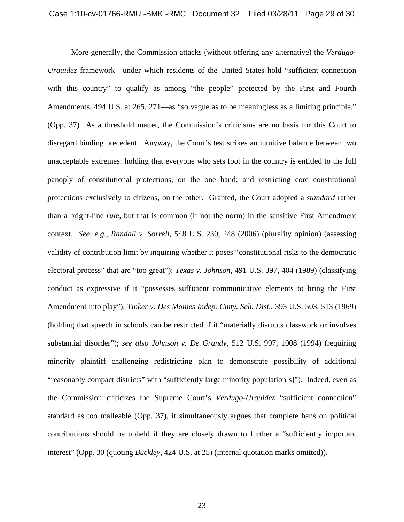More generally, the Commission attacks (without offering any alternative) the *Verdugo-Urquidez* framework—under which residents of the United States hold "sufficient connection with this country" to qualify as among "the people" protected by the First and Fourth Amendments, 494 U.S. at 265, 271—as "so vague as to be meaningless as a limiting principle." (Opp. 37) As a threshold matter, the Commission's criticisms are no basis for this Court to disregard binding precedent. Anyway, the Court's test strikes an intuitive balance between two unacceptable extremes: holding that everyone who sets foot in the country is entitled to the full panoply of constitutional protections, on the one hand; and restricting core constitutional protections exclusively to citizens, on the other. Granted, the Court adopted a *standard* rather than a bright-line *rule*, but that is common (if not the norm) in the sensitive First Amendment context. *See, e.g.*, *Randall v. Sorrell*, 548 U.S. 230, 248 (2006) (plurality opinion) (assessing validity of contribution limit by inquiring whether it poses "constitutional risks to the democratic electoral process" that are "too great"); *Texas v. Johnson*, 491 U.S. 397, 404 (1989) (classifying conduct as expressive if it "possesses sufficient communicative elements to bring the First Amendment into play"); *Tinker v. Des Moines Indep. Cmty. Sch. Dist.*, 393 U.S. 503, 513 (1969) (holding that speech in schools can be restricted if it "materially disrupts classwork or involves substantial disorder"); *see also Johnson v. De Grandy*, 512 U.S. 997, 1008 (1994) (requiring minority plaintiff challenging redistricting plan to demonstrate possibility of additional "reasonably compact districts" with "sufficiently large minority population[s]"). Indeed, even as the Commission criticizes the Supreme Court's *Verdugo-Urquidez* "sufficient connection" standard as too malleable (Opp. 37), it simultaneously argues that complete bans on political contributions should be upheld if they are closely drawn to further a "sufficiently important interest" (Opp. 30 (quoting *Buckley*, 424 U.S. at 25) (internal quotation marks omitted)).